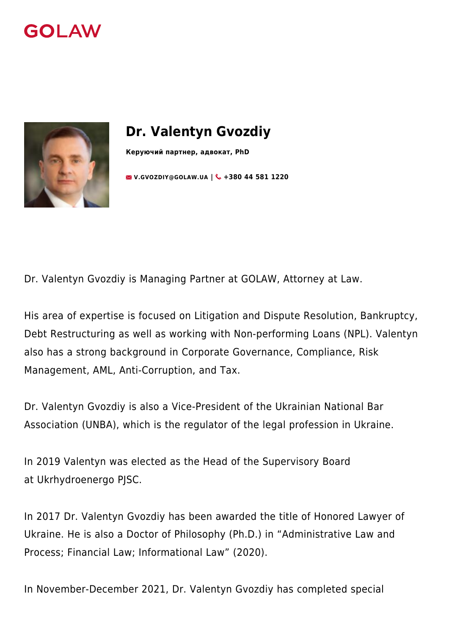



# **Dr. Valentyn Gvozdiy**

**Керуючий партнер, адвокат, PhD**

**EX [V.GVOZDIY@GOLAW.UA](mailto:info@golaw.ua) | & +380 44 581 1220** 

Dr. Valentyn Gvozdiy is Managing Partner at GOLAW, Attorney at Law.

His area of expertise is focused on Litigation and Dispute Resolution, Bankruptcy, Debt Restructuring as well as working with Non-performing Loans (NPL). Valentyn also has a strong background in Corporate Governance, Compliance, Risk Management, AML, [Anti-Corruption](https://golaw.ua/expertise/anti-corruption-and-anti-bribery/), and Tax.

Dr. Valentyn Gvozdiy is also a Vice-President of the Ukrainian National Bar Association ([UNBA](https://en.unba.org.ua/)), which is the regulator of the legal profession in Ukraine.

In 2019 Valentyn was elected as the Head of the Supervisory Board at [Ukrhydroenergo PJSC](https://uhe.gov.ua/).

In 2017 Dr. Valentyn Gvozdiy has been awarded the title of Honored Lawyer of Ukraine. He is also a Doctor of Philosophy (Ph.D.) in "Administrative Law and Process; Financial Law; Informational Law" (2020).

In November-December 2021, Dr. Valentyn Gvozdiy has completed special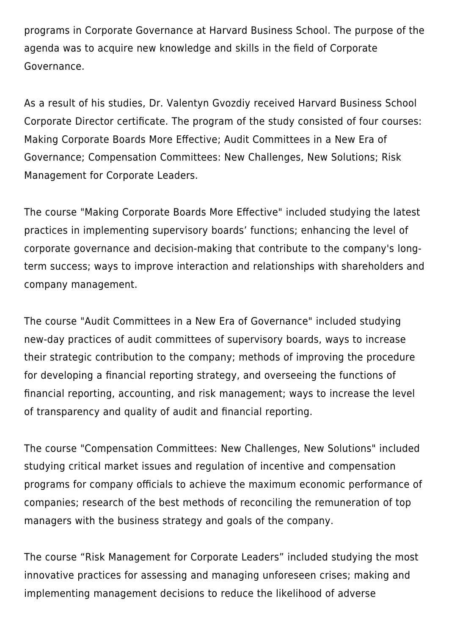programs in Corporate Governance at Harvard Business School. The purpose of the agenda was to acquire new knowledge and skills in the field of Corporate Governance.

As a result of his studies, Dr. Valentyn Gvozdiy received Harvard Business School Corporate Director certificate. The program of the study consisted of four courses: Making Corporate Boards More Effective; Audit Committees in a New Era of Governance; Compensation Committees: New Challenges, New Solutions; Risk Management for Corporate Leaders.

The course "Making Corporate Boards More Effective" included studying the latest practices in implementing supervisory boards' functions; enhancing the level of corporate governance and decision-making that contribute to the company's longterm success; ways to improve interaction and relationships with shareholders and company management.

The course "Audit Committees in a New Era of Governance" included studying new-day practices of audit committees of supervisory boards, ways to increase their strategic contribution to the company; methods of improving the procedure for developing a financial reporting strategy, and overseeing the functions of financial reporting, accounting, and risk management; ways to increase the level of transparency and quality of audit and financial reporting.

The course "Compensation Committees: New Challenges, New Solutions" included studying critical market issues and regulation of incentive and compensation programs for company officials to achieve the maximum economic performance of companies; research of the best methods of reconciling the remuneration of top managers with the business strategy and goals of the company.

The course "Risk Management for Corporate Leaders" included studying the most innovative practices for assessing and managing unforeseen crises; making and implementing management decisions to reduce the likelihood of adverse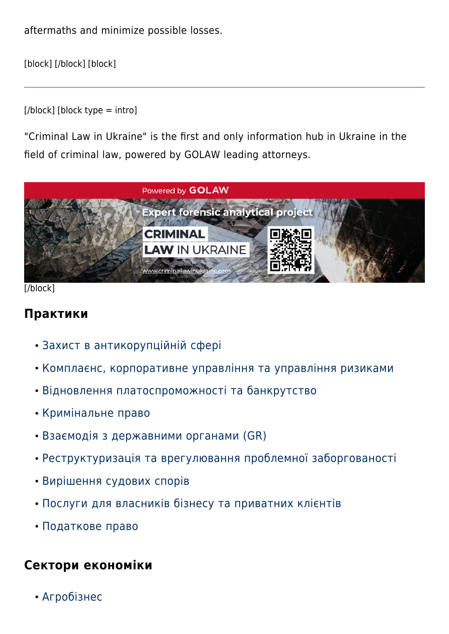aftermaths and minimize possible losses.

[block] [/block] [block]

[/block] [block type = intro]

"Criminal Law in Ukraine" is the first and only information hub in Ukraine in the field of criminal law, powered by GOLAW leading attorneys.



[/block]

#### **Практики**

- [Захист в антикорупційній сфері](#page--1-0)
- [Комплаєнс, корпоративне управління та управління ризиками](#page--1-0)
- [Відновлення платоспроможності та банкрутство](#page--1-0)
- [Кримінальне право](#page--1-0)
- [Взаємодія з державними органами \(GR\)](#page--1-0)
- [Реструктуризація та врегулювання проблемної заборгованості](#page--1-0)
- [Вирішення судових спорів](#page--1-0)
- [Послуги для власників бізнесу та приватних клієнтів](#page--1-0)
- [Податкове право](#page--1-0)

## **Сектори економіки**

[Агробізнес](#page--1-0)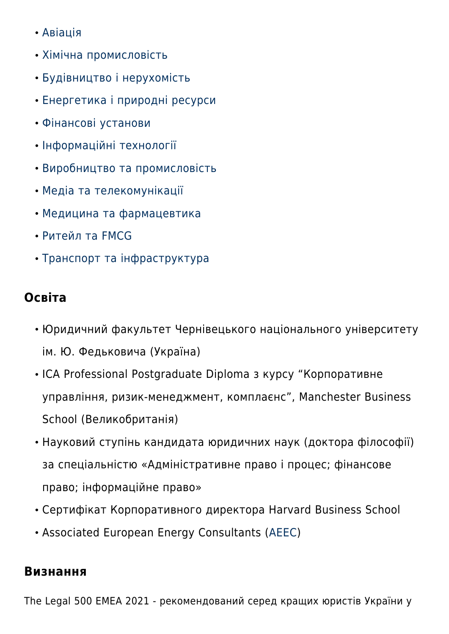- [Авіація](#page--1-0)
- [Хімічна промисловість](#page--1-0)
- [Будівництво і нерухомість](#page--1-0)
- [Енергетика і природні ресурси](#page--1-0)
- [Фінансові установи](#page--1-0)
- [Інформаційні технології](#page--1-0)
- [Виробництво та промисловість](#page--1-0)
- [Медіа та телекомунікації](#page--1-0)
- [Медицина та фармацевтика](#page--1-0)
- [Ритейл та FMCG](#page--1-0)
- [Транспорт та інфраструктура](#page--1-0)

## **Освіта**

- Юридичний факультет Чернівецького національного університету ім. Ю. Федьковича (Україна)
- ICA Professional Postgraduate Diploma з курсу "Корпоративне управління, ризик-менеджмент, комплаєнс", Manchester Business School (Великобританія)
- Науковий ступінь кандидата юридичних наук (доктора філософії) за спеціальністю «Адміністративне право і процес; фінансове право; інформаційне право»
- Cертифікат Корпоративного директора Harvard Business School
- Associated European Energy Consultants ([AEEC\)](https://www.aeec-online.com/)

### **Визнання**

The Legal 500 EMEA 2021 - рекомендований серед кращих юристів України у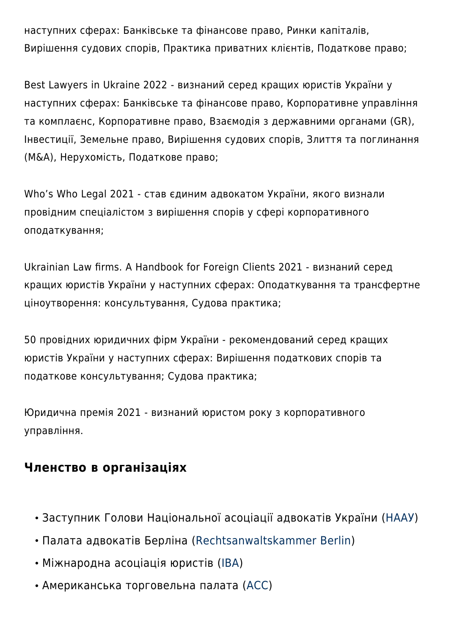наступних сферах: Банківське та фінансове право, Ринки капіталів, Вирішення судових спорів, Практика приватних клієнтів, Податкове право;

Best Lawyers in Ukraine 2022 - визнаний серед кращих юристів України у наступних сферах: Банківське та фінансове право, Корпоративне управління та комплаєнс, Корпоративне право, Взаємодія з державними органами (GR), Інвестиції, Земельне право, Вирішення судових спорів, Злиття та поглинання (M&A), Нерухомість, Податкове право;

Who's Who Legal 2021 - став єдиним адвокатом України, якого визнали провідним спеціалістом з вирішення спорів у сфері корпоративного оподаткування;

Ukrainian Law firms. A Handbook for Foreign Clients 2021 - визнаний серед кращих юристів України у наступних сферах: Оподаткування та трансфертне ціноутворення: консультування, Судова практика;

50 провідних юридичних фірм України - рекомендований серед кращих юристів України у наступних сферах: Вирішення податкових спорів та податкове консультування; Судова практика;

Юридична премія 2021 - визнаний юристом року з корпоративного управління.

### **Членство в організаціях**

- Заступник Голови Національної асоціації адвокатів України ([НААУ\)](https://unba.org.ua/)
- Палата адвокатів Берліна ([Rechtsanwaltskammer Berlin\)](https://www.rak-berlin.de/)
- Міжнародна асоціація юристів ([IBA](https://www.ibanet.org/))
- Американська торговельна палата ([ACC](http://www.chamber.ua/en))